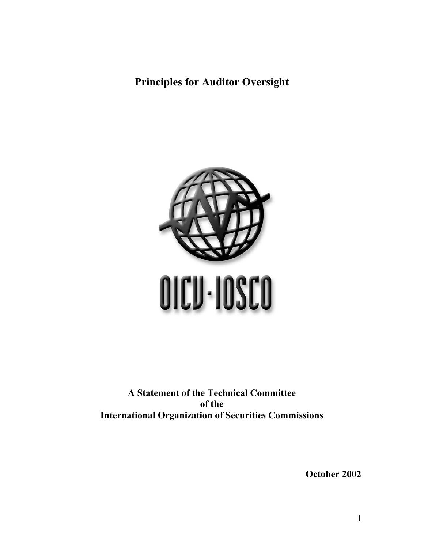**Principles for Auditor Oversight** 



**A Statement of the Technical Committee of the International Organization of Securities Commissions** 

**October 2002**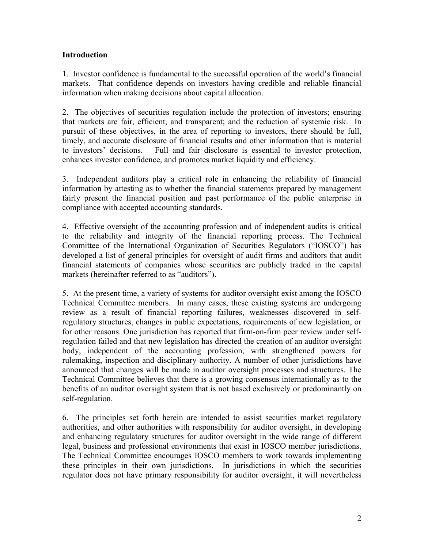## **Introduction**

1. Investor confidence is fundamental to the successful operation of the world's financial markets. That confidence depends on investors having credible and reliable financial information when making decisions about capital allocation.

2. The objectives of securities regulation include the protection of investors; ensuring that markets are fair, efficient, and transparent; and the reduction of systemic risk. In pursuit of these objectives, in the area of reporting to investors, there should be full, timely, and accurate disclosure of financial results and other information that is material to investors' decisions. Full and fair disclosure is essential to investor protection, enhances investor confidence, and promotes market liquidity and efficiency.

3. Independent auditors play a critical role in enhancing the reliability of financial information by attesting as to whether the financial statements prepared by management fairly present the financial position and past performance of the public enterprise in compliance with accepted accounting standards.

4. Effective oversight of the accounting profession and of independent audits is critical to the reliability and integrity of the financial reporting process. The Technical Committee of the International Organization of Securities Regulators ("IOSCO") has developed a list of general principles for oversight of audit firms and auditors that audit financial statements of companies whose securities are publicly traded in the capital markets (hereinafter referred to as "auditors").

5. At the present time, a variety of systems for auditor oversight exist among the IOSCO Technical Committee members. In many cases, these existing systems are undergoing review as a result of financial reporting failures, weaknesses discovered in selfregulatory structures, changes in public expectations, requirements of new legislation, or for other reasons. One jurisdiction has reported that firm-on-firm peer review under selfregulation failed and that new legislation has directed the creation of an auditor oversight body, independent of the accounting profession, with strengthened powers for rulemaking, inspection and disciplinary authority. A number of other jurisdictions have announced that changes will be made in auditor oversight processes and structures. The Technical Committee believes that there is a growing consensus internationally as to the benefits of an auditor oversight system that is not based exclusively or predominantly on self-regulation.

6. The principles set forth herein are intended to assist securities market regulatory authorities, and other authorities with responsibility for auditor oversight, in developing and enhancing regulatory structures for auditor oversight in the wide range of different legal, business and professional environments that exist in IOSCO member jurisdictions. The Technical Committee encourages IOSCO members to work towards implementing these principles in their own jurisdictions. In jurisdictions in which the securities regulator does not have primary responsibility for auditor oversight, it will nevertheless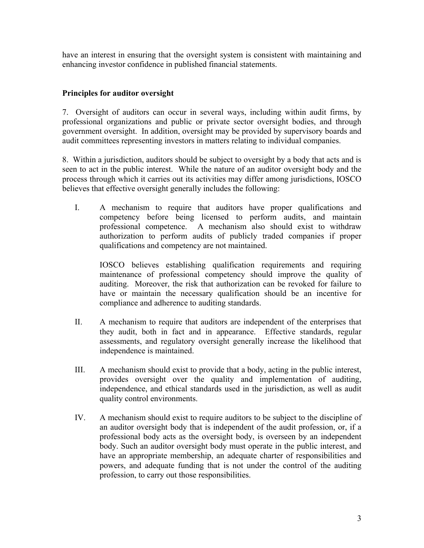have an interest in ensuring that the oversight system is consistent with maintaining and enhancing investor confidence in published financial statements.

## **Principles for auditor oversight**

7. Oversight of auditors can occur in several ways, including within audit firms, by professional organizations and public or private sector oversight bodies, and through government oversight. In addition, oversight may be provided by supervisory boards and audit committees representing investors in matters relating to individual companies.

8. Within a jurisdiction, auditors should be subject to oversight by a body that acts and is seen to act in the public interest. While the nature of an auditor oversight body and the process through which it carries out its activities may differ among jurisdictions, IOSCO believes that effective oversight generally includes the following:

I. A mechanism to require that auditors have proper qualifications and competency before being licensed to perform audits, and maintain professional competence. A mechanism also should exist to withdraw authorization to perform audits of publicly traded companies if proper qualifications and competency are not maintained.

IOSCO believes establishing qualification requirements and requiring maintenance of professional competency should improve the quality of auditing. Moreover, the risk that authorization can be revoked for failure to have or maintain the necessary qualification should be an incentive for compliance and adherence to auditing standards.

- II. A mechanism to require that auditors are independent of the enterprises that they audit, both in fact and in appearance. Effective standards, regular assessments, and regulatory oversight generally increase the likelihood that independence is maintained.
- III. A mechanism should exist to provide that a body, acting in the public interest, provides oversight over the quality and implementation of auditing, independence, and ethical standards used in the jurisdiction, as well as audit quality control environments.
- IV. A mechanism should exist to require auditors to be subject to the discipline of an auditor oversight body that is independent of the audit profession, or, if a professional body acts as the oversight body, is overseen by an independent body. Such an auditor oversight body must operate in the public interest, and have an appropriate membership, an adequate charter of responsibilities and powers, and adequate funding that is not under the control of the auditing profession, to carry out those responsibilities.